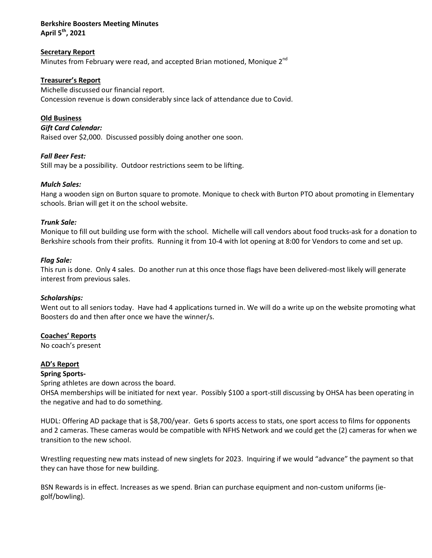#### **Berkshire Boosters Meeting Minutes April 5th, 2021**

### **Secretary Report**

Minutes from February were read, and accepted Brian motioned, Monique 2<sup>nd</sup>

# **Treasurer's Report**

Michelle discussed our financial report. Concession revenue is down considerably since lack of attendance due to Covid.

# **Old Business**

*Gift Card Calendar:*

Raised over \$2,000. Discussed possibly doing another one soon.

### *Fall Beer Fest:*

Still may be a possibility. Outdoor restrictions seem to be lifting.

### *Mulch Sales:*

Hang a wooden sign on Burton square to promote. Monique to check with Burton PTO about promoting in Elementary schools. Brian will get it on the school website.

### *Trunk Sale:*

Monique to fill out building use form with the school. Michelle will call vendors about food trucks-ask for a donation to Berkshire schools from their profits. Running it from 10-4 with lot opening at 8:00 for Vendors to come and set up.

### *Flag Sale:*

This run is done. Only 4 sales. Do another run at this once those flags have been delivered-most likely will generate interest from previous sales.

### *Scholarships:*

Went out to all seniors today. Have had 4 applications turned in. We will do a write up on the website promoting what Boosters do and then after once we have the winner/s.

### **Coaches' Reports**

No coach's present

### **AD's Report**

### **Spring Sports-**

Spring athletes are down across the board.

OHSA memberships will be initiated for next year. Possibly \$100 a sport-still discussing by OHSA has been operating in the negative and had to do something.

HUDL: Offering AD package that is \$8,700/year. Gets 6 sports access to stats, one sport access to films for opponents and 2 cameras. These cameras would be compatible with NFHS Network and we could get the (2) cameras for when we transition to the new school.

Wrestling requesting new mats instead of new singlets for 2023. Inquiring if we would "advance" the payment so that they can have those for new building.

BSN Rewards is in effect. Increases as we spend. Brian can purchase equipment and non-custom uniforms (iegolf/bowling).